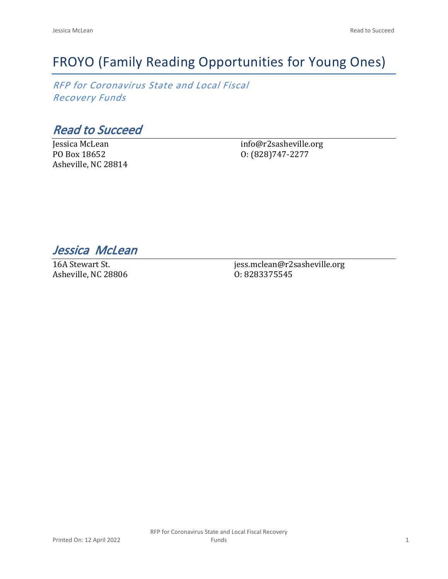# FROYO (Family Reading Opportunities for Young Ones)

*RFP for Coronavirus State and Local Fiscal Recovery Funds*

*Read to Succeed*

Jessica McLean PO Box 18652 Asheville, NC 28814 info@r2sasheville.org O: (828)747-2277

*Jessica McLean* 

16A Stewart St. Asheville, NC 28806 jess.mclean@r2sasheville.org O: 8283375545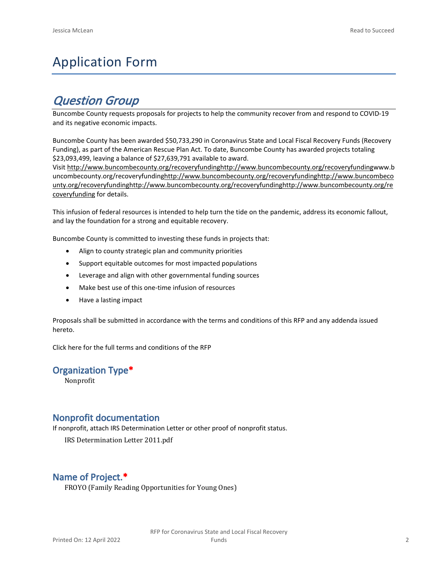## Application Form

## *Question Group*

Buncombe County requests proposals for projects to help the community recover from and respond to COVID-19 and its negative economic impacts.

Buncombe County has been awarded \$50,733,290 in Coronavirus State and Local Fiscal Recovery Funds (Recovery Funding), as part of the American Rescue Plan Act. To date, Buncombe County has awarded projects totaling \$23,093,499, leaving a balance of \$27,639,791 available to award.

Visit [http://www.buncombecounty.org/recoveryfundinghttp://www.buncombecounty.org/recoveryfundingwww.b](http://www.buncombecounty.org/recoveryfunding) [uncombecounty.org/recoveryfundinghttp://www.buncombecounty.org/recoveryfundinghttp://www.buncombeco](http://www.buncombecounty.org/recoveryfunding) [unty.org/recoveryfundinghttp://www.buncombecounty.org/recoveryfundinghttp://www.buncombecounty.org/re](http://www.buncombecounty.org/recoveryfunding) [coveryfunding](http://www.buncombecounty.org/recoveryfunding) for details.

This infusion of federal resources is intended to help turn the tide on the pandemic, address its economic fallout, and lay the foundation for a strong and equitable recovery.

Buncombe County is committed to investing these funds in projects that:

- Align to county strategic plan and community priorities
- Support equitable outcomes for most impacted populations
- Leverage and align with other governmental funding sources
- Make best use of this one-time infusion of resources
- Have a lasting impact

Proposals shall be submitted in accordance with the terms and conditions of this RFP and any addenda issued hereto.

Click [here](https://www.buncombecounty.org/common/purchasing/Buncombe%20Recovery%20Funding%20RFP%202022.pdf) for the full terms and conditions of the RFP

#### **Organization Type\***

Nonprofit

#### **Nonprofit documentation**

If nonprofit, attach IRS Determination Letter or other proof of nonprofit status.

IRS Determination Letter 2011.pdf

#### **Name of Project.\***

FROYO (Family Reading Opportunities for Young Ones)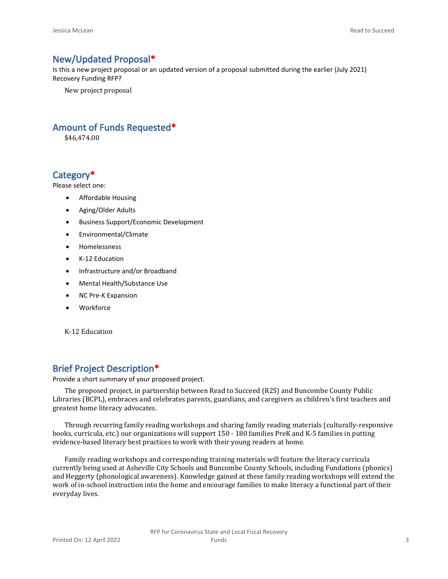#### **New/Updated Proposal\***

Is this a new project proposal or an updated version of a proposal submitted during the earlier (July 2021) Recovery Funding RFP?

New project proposal

#### **Amount of Funds Requested\***

\$46,474.00

#### **Category\***

Please select one:

- Affordable Housing
- Aging/Older Adults
- Business Support/Economic Development
- Environmental/Climate
- Homelessness
- K-12 Education
- Infrastructure and/or Broadband
- Mental Health/Substance Use
- NC Pre-K Expansion
- Workforce

K-12 Education

#### **Brief Project Description\***

Provide a short summary of your proposed project.

The proposed project, in partnership between Read to Succeed (R2S) and Buncombe County Public Libraries (BCPL), embraces and celebrates parents, guardians, and caregivers as children's first teachers and greatest home literacy advocates.

Through recurring family reading workshops and sharing family reading materials (culturally-responsive books, curricula, etc.) our organizations will support 150 - 180 families PreK and K-5 families in putting evidence-based literacy best practices to work with their young readers at home.

Family reading workshops and corresponding training materials will feature the literacy curricula currently being used at Asheville City Schools and Buncombe County Schools, including Fundations (phonics) and Heggerty (phonological awareness). Knowledge gained at these family reading workshops will extend the work of in-school instruction into the home and encourage families to make literacy a functional part of their everyday lives.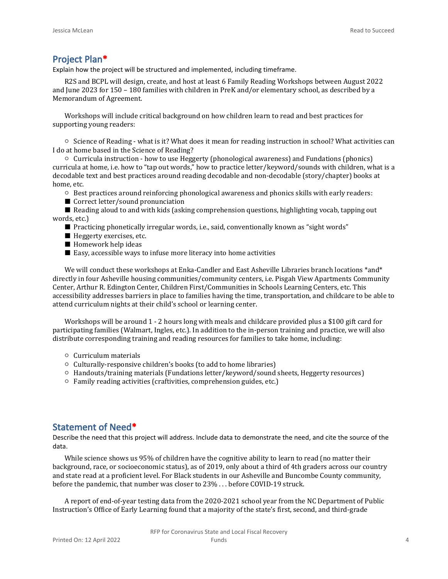#### **Project Plan\***

Explain how the project will be structured and implemented, including timeframe.

R2S and BCPL will design, create, and host at least 6 Family Reading Workshops between August 2022 and June 2023 for 150 – 180 families with children in PreK and/or elementary school, as described by a Memorandum of Agreement.

Workshops will include critical background on how children learn to read and best practices for supporting young readers:

○ Science of Reading - what is it? What does it mean for reading instruction in school? What activities can I do at home based in the Science of Reading?

○ Curricula instruction - how to use Heggerty (phonological awareness) and Fundations (phonics) curricula at home, i.e. how to "tap out words," how to practice letter/keyword/sounds with children, what is a decodable text and best practices around reading decodable and non-decodable (story/chapter) books at home, etc.

- Best practices around reinforcing phonological awareness and phonics skills with early readers:
- Correct letter/sound pronunciation

■ Reading aloud to and with kids (asking comprehension questions, highlighting vocab, tapping out words, etc.)

- Practicing phonetically irregular words, i.e., said, conventionally known as "sight words"
- Heggerty exercises, etc.
- Homework help ideas
- $\blacksquare$  Easy, accessible ways to infuse more literacy into home activities

We will conduct these workshops at Enka-Candler and East Asheville Libraries branch locations \*and\* directly in four Asheville housing communities/community centers, i.e. Pisgah View Apartments Community Center, Arthur R. Edington Center, Children First/Communities in Schools Learning Centers, etc. This accessibility addresses barriers in place to families having the time, transportation, and childcare to be able to attend curriculum nights at their child's school or learning center.

Workshops will be around 1 - 2 hours long with meals and childcare provided plus a \$100 gift card for participating families (Walmart, Ingles, etc.). In addition to the in-person training and practice, we will also distribute corresponding training and reading resources for families to take home, including:

- Curriculum materials
- Culturally-responsive children's books (to add to home libraries)
- Handouts/training materials (Fundations letter/keyword/sound sheets, Heggerty resources)
- Family reading activities (craftivities, comprehension guides, etc.)

#### **Statement of Need\***

Describe the need that this project will address. Include data to demonstrate the need, and cite the source of the data.

While science shows us 95% of children have the cognitive ability to learn to read (no matter their background, race, or socioeconomic status), as of 2019, only about a third of 4th graders across our country and state read at a proficient level. For Black students in our Asheville and Buncombe County community, before the pandemic, that number was closer to 23% . . . before COVID-19 struck.

A report of end-of-year testing data from the 2020-2021 school year from the NC Department of Public Instruction's Office of Early Learning found that a majority of the state's first, second, and third-grade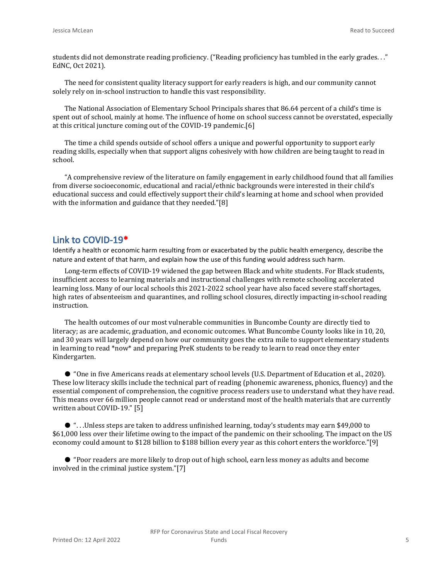students did not demonstrate reading proficiency. ("Reading proficiency has tumbled in the early grades. . ." EdNC, Oct 2021).

The need for consistent quality literacy support for early readers is high, and our community cannot solely rely on in-school instruction to handle this vast responsibility.

The National Association of Elementary School Principals shares that 86.64 percent of a child's time is spent out of school, mainly at home. The influence of home on school success cannot be overstated, especially at this critical juncture coming out of the COVID-19 pandemic.[6]

The time a child spends outside of school offers a unique and powerful opportunity to support early reading skills, especially when that support aligns cohesively with how children are being taught to read in school.

"A comprehensive review of the literature on family engagement in early childhood found that all families from diverse socioeconomic, educational and racial/ethnic backgrounds were interested in their child's educational success and could effectively support their child's learning at home and school when provided with the information and guidance that they needed."[8]

#### **Link to COVID-19\***

Identify a health or economic harm resulting from or exacerbated by the public health emergency, describe the nature and extent of that harm, and explain how the use of this funding would address such harm.

Long-term effects of COVID-19 widened the gap between Black and white students. For Black students, insufficient access to learning materials and instructional challenges with remote schooling accelerated learning loss. Many of our local schools this 2021-2022 school year have also faced severe staff shortages, high rates of absenteeism and quarantines, and rolling school closures, directly impacting in-school reading instruction.

The health outcomes of our most vulnerable communities in Buncombe County are directly tied to literacy; as are academic, graduation, and economic outcomes. What Buncombe County looks like in 10, 20, and 30 years will largely depend on how our community goes the extra mile to support elementary students in learning to read \*now\* and preparing PreK students to be ready to learn to read once they enter Kindergarten.

● "One in five Americans reads at elementary school levels (U.S. Department of Education et al., 2020). These low literacy skills include the technical part of reading (phonemic awareness, phonics, fluency) and the essential component of comprehension, the cognitive process readers use to understand what they have read. This means over 66 million people cannot read or understand most of the health materials that are currently written about COVID-19." [5]

● ". . .Unless steps are taken to address unfinished learning, today's students may earn \$49,000 to \$61,000 less over their lifetime owing to the impact of the pandemic on their schooling. The impact on the US economy could amount to \$128 billion to \$188 billion every year as this cohort enters the workforce."[9]

● "Poor readers are more likely to drop out of high school, earn less money as adults and become involved in the criminal justice system."[7]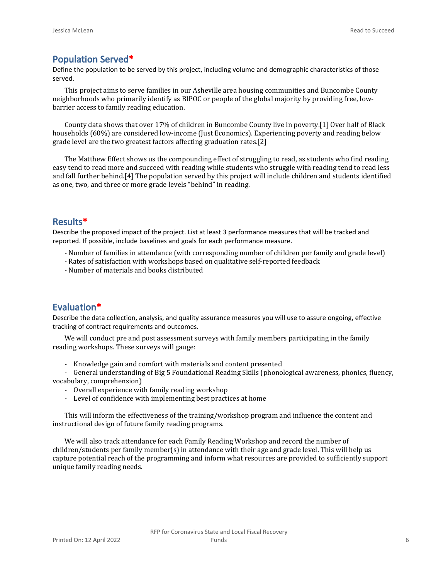#### **Population Served\***

Define the population to be served by this project, including volume and demographic characteristics of those served.

This project aims to serve families in our Asheville area housing communities and Buncombe County neighborhoods who primarily identify as BIPOC or people of the global majority by providing free, lowbarrier access to family reading education.

County data shows that over 17% of children in Buncombe County live in poverty.[1] Over half of Black households (60%) are considered low-income (Just Economics). Experiencing poverty and reading below grade level are the two greatest factors affecting graduation rates.[2]

The Matthew Effect shows us the compounding effect of struggling to read, as students who find reading easy tend to read more and succeed with reading while students who struggle with reading tend to read less and fall further behind.[4] The population served by this project will include children and students identified as one, two, and three or more grade levels "behind" in reading.

#### **Results\***

Describe the proposed impact of the project. List at least 3 performance measures that will be tracked and reported. If possible, include baselines and goals for each performance measure.

- Number of families in attendance (with corresponding number of children per family and grade level)
- Rates of satisfaction with workshops based on qualitative self-reported feedback
- Number of materials and books distributed

#### **Evaluation\***

Describe the data collection, analysis, and quality assurance measures you will use to assure ongoing, effective tracking of contract requirements and outcomes.

We will conduct pre and post assessment surveys with family members participating in the family reading workshops. These surveys will gauge:

- Knowledge gain and comfort with materials and content presented

- General understanding of Big 5 Foundational Reading Skills (phonological awareness, phonics, fluency, vocabulary, comprehension)

- Overall experience with family reading workshop
- Level of confidence with implementing best practices at home

This will inform the effectiveness of the training/workshop program and influence the content and instructional design of future family reading programs.

We will also track attendance for each Family Reading Workshop and record the number of children/students per family member(s) in attendance with their age and grade level. This will help us capture potential reach of the programming and inform what resources are provided to sufficiently support unique family reading needs.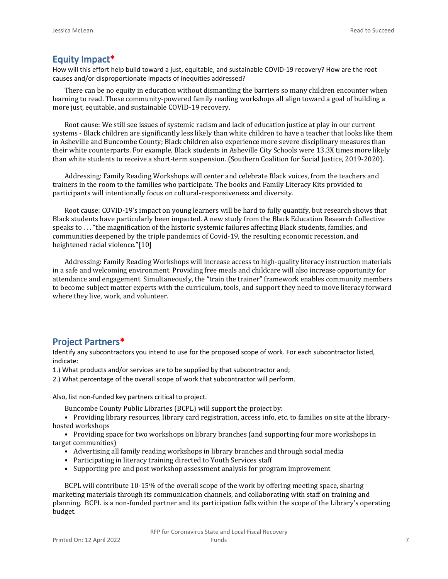#### **Equity Impact\***

How will this effort help build toward a just, equitable, and sustainable COVID-19 recovery? How are the root causes and/or disproportionate impacts of inequities addressed?

There can be no equity in education without dismantling the barriers so many children encounter when learning to read. These community-powered family reading workshops all align toward a goal of building a more just, equitable, and sustainable COVID-19 recovery.

Root cause: We still see issues of systemic racism and lack of education justice at play in our current systems - Black children are significantly less likely than white children to have a teacher that looks like them in Asheville and Buncombe County; Black children also experience more severe disciplinary measures than their white counterparts. For example, Black students in Asheville City Schools were 13.3X times more likely than white students to receive a short-term suspension. (Southern Coalition for Social Justice, 2019-2020).

Addressing: Family Reading Workshops will center and celebrate Black voices, from the teachers and trainers in the room to the families who participate. The books and Family Literacy Kits provided to participants will intentionally focus on cultural-responsiveness and diversity.

Root cause: COVID-19's impact on young learners will be hard to fully quantify, but research shows that Black students have particularly been impacted. A new study from the Black Education Research Collective speaks to . . . "the magnification of the historic systemic failures affecting Black students, families, and communities deepened by the triple pandemics of Covid-19, the resulting economic recession, and heightened racial violence."[10]

Addressing: Family Reading Workshops will increase access to high-quality literacy instruction materials in a safe and welcoming environment. Providing free meals and childcare will also increase opportunity for attendance and engagement. Simultaneously, the "train the trainer" framework enables community members to become subject matter experts with the curriculum, tools, and support they need to move literacy forward where they live, work, and volunteer.

#### **Project Partners\***

Identify any subcontractors you intend to use for the proposed scope of work. For each subcontractor listed, indicate:

1.) What products and/or services are to be supplied by that subcontractor and;

2.) What percentage of the overall scope of work that subcontractor will perform.

Also, list non-funded key partners critical to project.

Buncombe County Public Libraries (BCPL) will support the project by:

• Providing library resources, library card registration, access info, etc. to families on site at the libraryhosted workshops

• Providing space for two workshops on library branches (and supporting four more workshops in target communities)

- Advertising all family reading workshops in library branches and through social media
- Participating in literacy training directed to Youth Services staff
- Supporting pre and post workshop assessment analysis for program improvement

BCPL will contribute 10-15% of the overall scope of the work by offering meeting space, sharing marketing materials through its communication channels, and collaborating with staff on training and planning. BCPL is a non-funded partner and its participation falls within the scope of the Library's operating budget.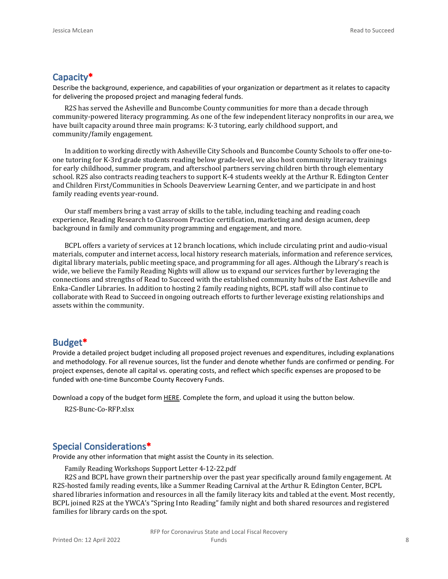#### **Capacity\***

Describe the background, experience, and capabilities of your organization or department as it relates to capacity for delivering the proposed project and managing federal funds.

R2S has served the Asheville and Buncombe County communities for more than a decade through community-powered literacy programming. As one of the few independent literacy nonprofits in our area, we have built capacity around three main programs: K-3 tutoring, early childhood support, and community/family engagement.

In addition to working directly with Asheville City Schools and Buncombe County Schools to offer one-toone tutoring for K-3rd grade students reading below grade-level, we also host community literacy trainings for early childhood, summer program, and afterschool partners serving children birth through elementary school. R2S also contracts reading teachers to support K-4 students weekly at the Arthur R. Edington Center and Children First/Communities in Schools Deaverview Learning Center, and we participate in and host family reading events year-round.

Our staff members bring a vast array of skills to the table, including teaching and reading coach experience, Reading Research to Classroom Practice certification, marketing and design acumen, deep background in family and community programming and engagement, and more.

BCPL offers a variety of services at 12 branch locations, which include circulating print and audio-visual materials, computer and internet access, local history research materials, information and reference services, digital library materials, public meeting space, and programming for all ages. Although the Library's reach is wide, we believe the Family Reading Nights will allow us to expand our services further by leveraging the connections and strengths of Read to Succeed with the established community hubs of the East Asheville and Enka-Candler Libraries. In addition to hosting 2 family reading nights, BCPL staff will also continue to collaborate with Read to Succeed in ongoing outreach efforts to further leverage existing relationships and assets within the community.

#### **Budget\***

Provide a detailed project budget including all proposed project revenues and expenditures, including explanations and methodology. For all revenue sources, list the funder and denote whether funds are confirmed or pending. For project expenses, denote all capital vs. operating costs, and reflect which specific expenses are proposed to be funded with one-time Buncombe County Recovery Funds.

Download a copy of the budget form [HERE](https://buncombecounty.org/common/community-investment/grants/early-childhood-education/Recovery-Funds-budget-template.xlsx). Complete the form, and upload it using the button below.

R2S-Bunc-Co-RFP.xlsx

#### **Special Considerations\***

Provide any other information that might assist the County in its selection.

Family Reading Workshops Support Letter 4-12-22.pdf

R2S and BCPL have grown their partnership over the past year specifically around family engagement. At R2S-hosted family reading events, like a Summer Reading Carnival at the Arthur R. Edington Center, BCPL shared libraries information and resources in all the family literacy kits and tabled at the event. Most recently, BCPL joined R2S at the YWCA's "Spring Into Reading" family night and both shared resources and registered families for library cards on the spot.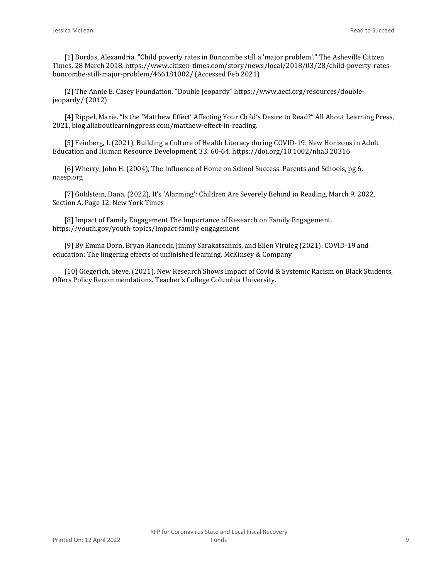[1] Bordas, Alexandria. "Child poverty rates in Buncombe still a 'major problem'." The Asheville Citizen Times, 28 March 2018. https://www.citizen-times.com/story/news/local/2018/03/28/child-poverty-ratesbuncombe-still-major-problem/466181002/ (Accessed Feb 2021)

[2] The Annie E. Casey Foundation. "Double Jeopardy" https://www.aecf.org/resources/doublejeopardy/ (2012)

[4] Rippel, Marie. "Is the 'Matthew Effect' Affecting Your Child's Desire to Read?" All About Learning Press, 2021, blog.allaboutlearningpress.com/matthew-effect-in-reading.

[5] Feinberg, I. (2021), Building a Culture of Health Literacy during COVID-19. New Horizons in Adult Education and Human Resource Development, 33: 60-64. https://doi.org/10.1002/nha3.20316

[6] Wherry, John H. (2004), The Influence of Home on School Success. Parents and Schools, pg 6. naesp.org

[7] Goldstein, Dana. (2022), It's 'Alarming': Children Are Severely Behind in Reading, March 9, 2022, Section A, Page 12. New York Times

[8] Impact of Family Engagement The Importance of Research on Family Engagement. https://youth.gov/youth-topics/impact-family-engagement

[9] By Emma Dorn, Bryan Hancock, Jimmy Sarakatsannis, and Ellen Viruleg (2021). COVID-19 and education: The lingering effects of unfinished learning. McKinsey & Company

[10] Giegerich, Steve. (2021), New Research Shows Impact of Covid & Systemic Racism on Black Students, Offers Policy Recommendations. Teacher's College Columbia University.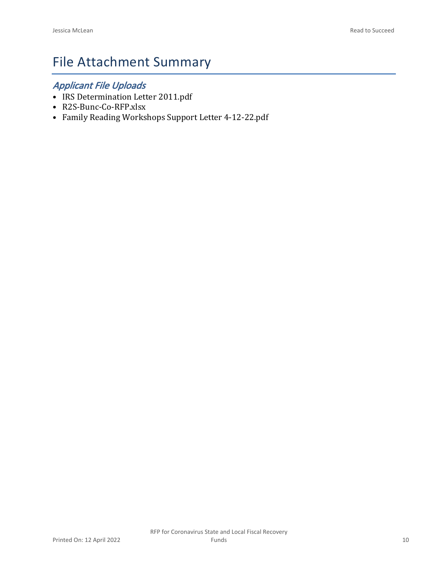# File Attachment Summary

### *Applicant File Uploads*

- IRS Determination Letter 2011.pdf
- R2S-Bunc-Co-RFP.xlsx
- Family Reading Workshops Support Letter 4-12-22.pdf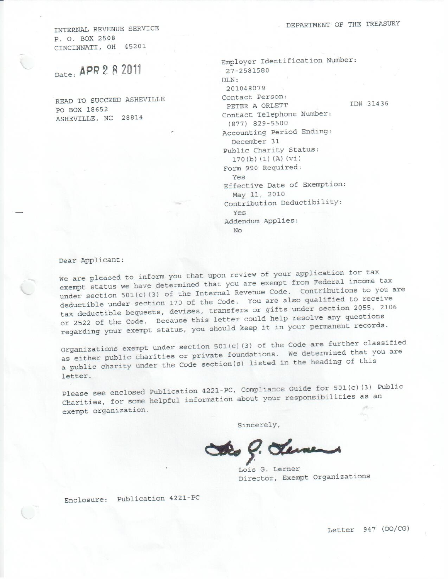INTERNAL REVENUE SERVICE P. O. BOX 2508 CINCINNATI, OH 45201

Date: APR 2 8 2011

READ TO SUCCEED ASHEVILLE PO BOX 18652 ASHEVILLE, NC 28814

| Employer Identification Number: |           |
|---------------------------------|-----------|
| 27-2581580                      |           |
| $\text{DI}.\text{N}:$           |           |
| 201048079                       |           |
| Contact Person:                 |           |
| PETER A ORLETT                  | ID# 31436 |
| Contact Telephone Number:       |           |
| (877) 829-5500                  |           |
| Accounting Period Ending:       |           |
| December 31                     |           |
| Public Charity Status:          |           |
| 170(b) (1) (A) (vi)             |           |
| Form 990 Required:              |           |
| Yes                             |           |
| Effective Date of Exemption:    |           |
| May 11, 2010                    |           |
| Contribution Deductibility:     |           |
| Yes                             |           |
| Addendum Applies:               |           |
| No                              |           |
|                                 |           |

Dear Applicant:

We are pleased to inform you that upon review of your application for tax exempt status we have determined that you are exempt from Federal income tax under section 501(c)(3) of the Internal Revenue Code. Contributions to you are deductible under section 170 of the Code. You are also qualified to receive tax deductible bequests, devises, transfers or gifts under section 2055, 2106 or 2522 of the Code. Because this letter could help resolve any questions regarding your exempt status, you should keep it in your permanent records.

Organizations exempt under section 501(c)(3) of the Code are further classified as either public charities or private foundations. We determined that you are a public charity under the Code section(s) listed in the heading of this letter.

Please see enclosed Publication 4221-PC, Compliance Guide for 501(c)(3) Public Charities, for some helpful information about your responsibilities as an exempt organization.

Sincerely,

Sto 9. Leven

Lois G. Lerner Director, Exempt Organizations

Enclosure: Publication 4221-PC

Letter 947 (DO/CG)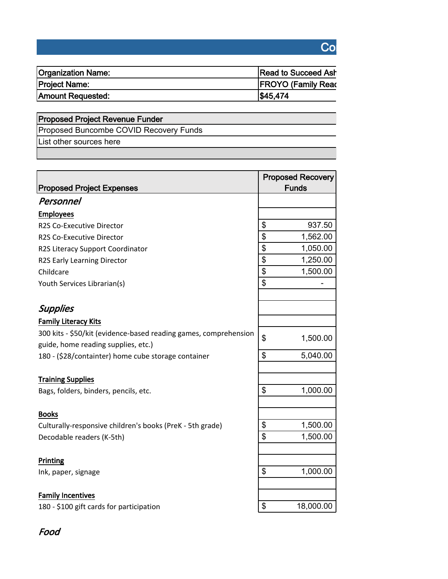### **Coronavirus State and Local Fiscal Recovery Funds**

| <b>Organization Name:</b> | <b>Read to Succeed Ash</b> |
|---------------------------|----------------------------|
| Project Name:             | <b>FROYO (Family Read)</b> |
| Amount Requested:         | \$45,474                   |

## **Proposed Project Revenue Funder** Proposed Buncombe COVID Recovery Funds

List other sources here

| <b>Proposed Project Expenses</b>                                 | <b>Proposed Recovery</b><br><b>Funds</b> |
|------------------------------------------------------------------|------------------------------------------|
| Personnel                                                        |                                          |
| <b>Employees</b>                                                 |                                          |
| R2S Co-Executive Director                                        | \$<br>937.50                             |
| R2S Co-Executive Director                                        | \$<br>1,562.00                           |
| R2S Literacy Support Coordinator                                 | \$<br>1,050.00                           |
| R2S Early Learning Director                                      | \$<br>1,250.00                           |
| Childcare                                                        | \$<br>1,500.00                           |
| Youth Services Librarian(s)                                      | \$                                       |
| <b>Supplies</b>                                                  |                                          |
| <b>Family Literacy Kits</b>                                      |                                          |
| 300 kits - \$50/kit (evidence-based reading games, comprehension | \$<br>1,500.00                           |
| guide, home reading supplies, etc.)                              | \$<br>5,040.00                           |
| 180 - (\$28/containter) home cube storage container              |                                          |
| <b>Training Supplies</b>                                         |                                          |
| Bags, folders, binders, pencils, etc.                            | \$<br>1,000.00                           |
| <b>Books</b>                                                     |                                          |
| Culturally-responsive children's books (PreK - 5th grade)        | \$<br>1,500.00                           |
| Decodable readers (K-5th)                                        | \$<br>1,500.00                           |
| Printing                                                         |                                          |
| Ink, paper, signage                                              | \$<br>1,000.00                           |
| <b>Family Incentives</b>                                         |                                          |
| 180 - \$100 gift cards for participation                         | \$<br>18,000.00                          |

### *Food*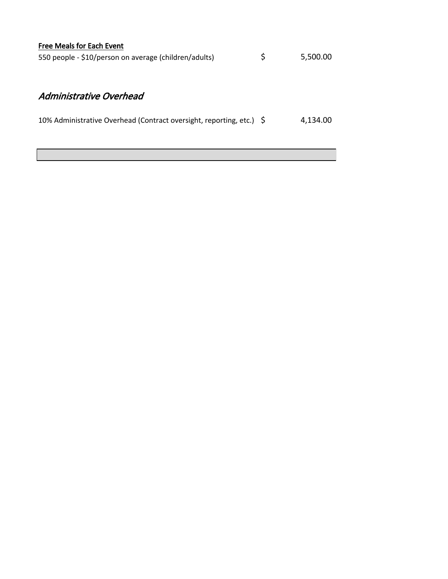|  | <b>Free Meals for Each Event</b> |  |
|--|----------------------------------|--|
|  |                                  |  |

| 550 people - \$10/person on average (children/adults) |  | 5,500.00 |
|-------------------------------------------------------|--|----------|
|-------------------------------------------------------|--|----------|

### *Administrative Overhead*

| 10% Administrative Overhead (Contract oversight, reporting, etc.) \$ |  | 4,134.00 |
|----------------------------------------------------------------------|--|----------|
|----------------------------------------------------------------------|--|----------|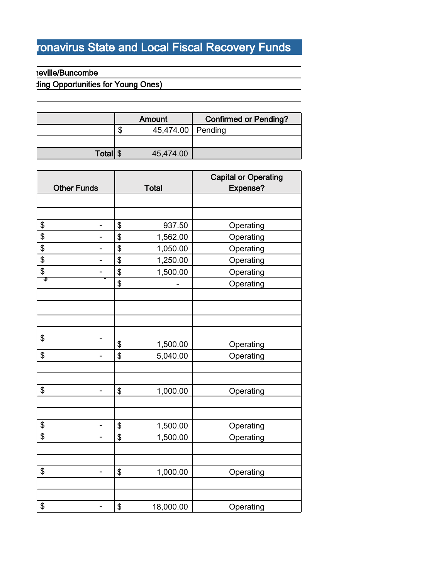# ronavirus State and Local Fiscal Recovery Funds

**Proposed Project Budget**

#### **Reville/Buncombe**

## **Fing Opportunities for Young Ones)**

|       |   | Amount              | <b>Confirmed or Pending?</b> |
|-------|---|---------------------|------------------------------|
|       | Œ | 45,474.00   Pending |                              |
|       |   |                     |                              |
| Total |   | 45,474.00           |                              |

|                   | <b>Other Funds</b> | <b>Total</b>    | <b>Capital or Operating</b><br>Expense? |
|-------------------|--------------------|-----------------|-----------------------------------------|
|                   |                    |                 |                                         |
|                   |                    |                 |                                         |
| \$                | -                  | \$<br>937.50    | Operating                               |
| $\overline{\$}$   |                    | \$<br>1,562.00  | Operating                               |
| \$                | -                  | \$<br>1,050.00  | Operating                               |
| \$                |                    | \$<br>1,250.00  | Operating                               |
| $\overline{\$}$   |                    | \$<br>1,500.00  | Operating                               |
| $\overline{\Phi}$ |                    | \$              | Operating                               |
|                   |                    |                 |                                         |
|                   |                    |                 |                                         |
|                   |                    |                 |                                         |
|                   |                    |                 |                                         |
| \$                |                    | \$<br>1,500.00  | Operating                               |
| \$                |                    | \$<br>5,040.00  | Operating                               |
|                   |                    |                 |                                         |
|                   |                    |                 |                                         |
| \$                | $\blacksquare$     | \$<br>1,000.00  | Operating                               |
|                   |                    |                 |                                         |
|                   |                    |                 |                                         |
| \$                | -                  | \$<br>1,500.00  | Operating                               |
| $\overline{\$}$   |                    | \$<br>1,500.00  | Operating                               |
|                   |                    |                 |                                         |
|                   |                    |                 |                                         |
| \$                | -                  | \$<br>1,000.00  | Operating                               |
|                   |                    |                 |                                         |
|                   |                    |                 |                                         |
| \$                |                    | \$<br>18,000.00 | Operating                               |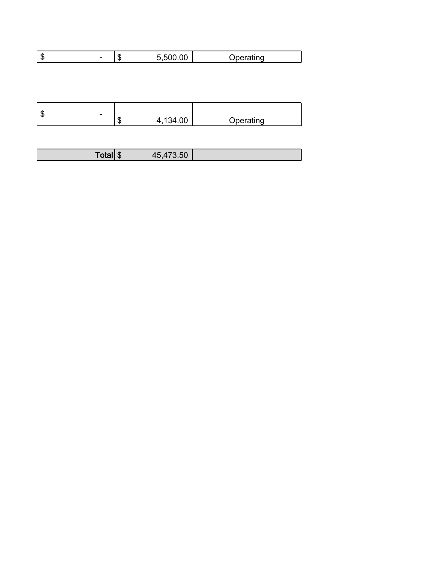| Ι¢<br>- 11. | - 14 | . |
|-------------|------|---|
|             |      |   |

|  |  | 134.00<br>æ<br>$\Delta$<br>AD. | Operating |
|--|--|--------------------------------|-----------|
|--|--|--------------------------------|-----------|

| --<br>Totall | m<br>AD. |  |
|--------------|----------|--|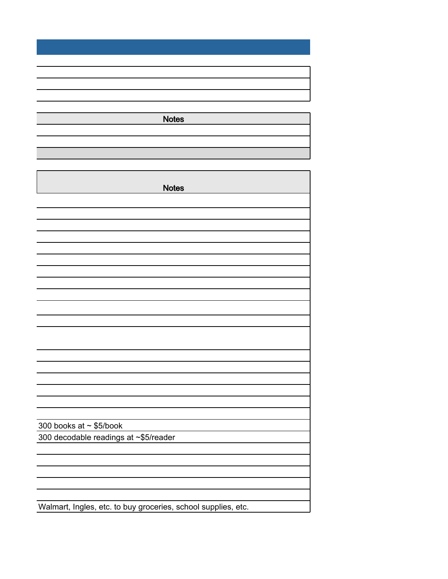**Notes**

| <b>Notes</b>                                                  |
|---------------------------------------------------------------|
|                                                               |
|                                                               |
|                                                               |
|                                                               |
|                                                               |
|                                                               |
|                                                               |
|                                                               |
|                                                               |
|                                                               |
|                                                               |
|                                                               |
|                                                               |
|                                                               |
|                                                               |
|                                                               |
|                                                               |
|                                                               |
|                                                               |
|                                                               |
| 300 books at $\sim$ \$5/book                                  |
| 300 decodable readings at ~\$5/reader                         |
|                                                               |
|                                                               |
|                                                               |
|                                                               |
|                                                               |
| Walmart, Ingles, etc. to buy groceries, school supplies, etc. |

Walmart, Ingles, etc. to buy groceries, school supplies, etc.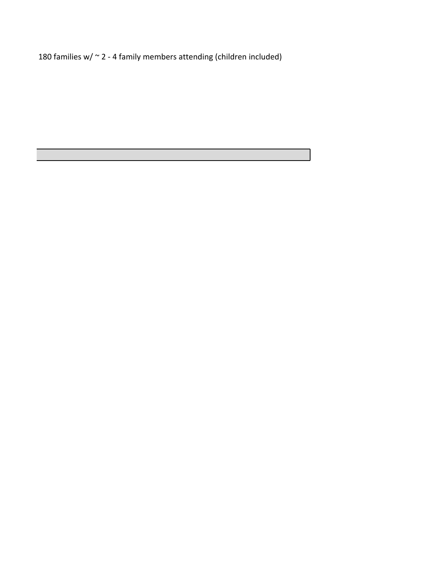families w/ ~ 2 - 4 family members attending (children included)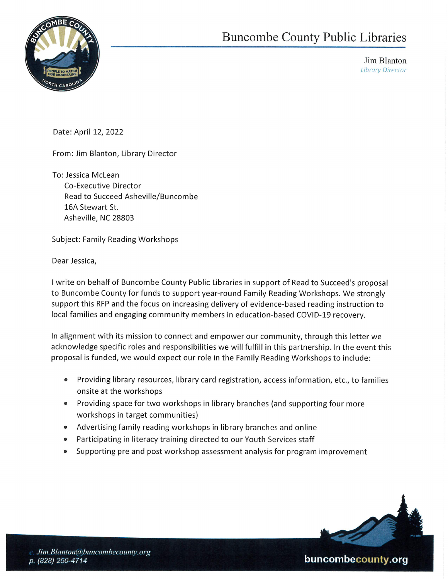

Buncon Buncombe County Public Libraries

> Jim Blanton Library Director

Date: April 12, 2022

From: Jim Blanton, Library Director

To: Jessica McLean Co-Executive Director Read to Succeed Asheville/Buncombe 16A Stewart St. Asheville, NC 28803

Subject: Family Reading Workshops

Dear Jessica,

| write on behalf of Buncombe County Public Libraries in support of Read to Succeed's proposal to Buncombe County for funds to support year-round Family Reading Workshops. We strongly support this RFP and the focus on increasing delivery of evidence-based reading instruction to local families and engaging community members in education-based COVID-19 recovery.

In alignment with its mission to connect and empower our community, through this letter we acknowledge specific roles and responsibilities we will fulfill in this partnership. In the event this proposal is funded, we would expect our role in the Family Reading Workshops to include:

- e Providing library resources, library card registration, access information, etc., to families onsite at the workshops
- e Providing space for two workshops in library branches (and supporting four more workshops in target communities)
- e Advertising family reading workshops in library branches and online
- Participating in literacy training directed to our Youth Services staff
- Supporting pre and post workshop assessment analysis for program improvement